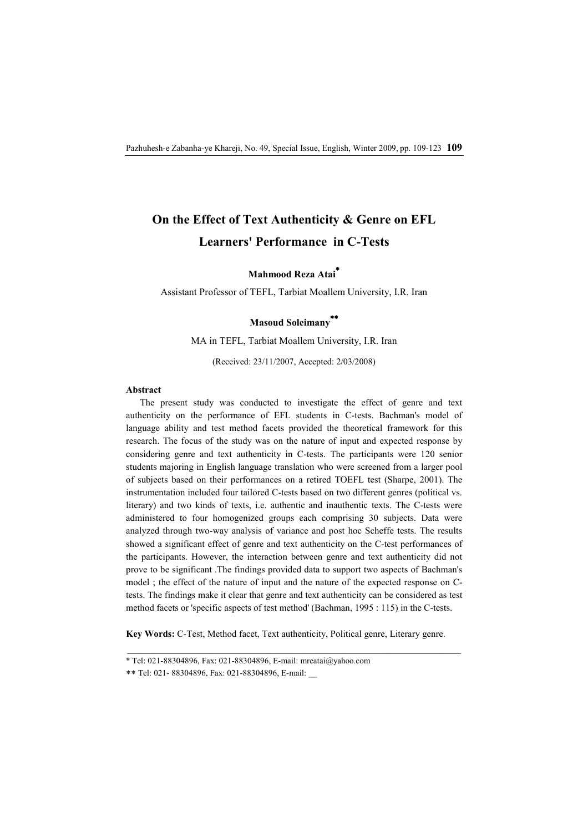# **On the Effect of Text Authenticity & Genre on EFL Learners' Performance in C-Tests**

**Mahmood Reza Atai\***

Assistant Professor of TEFL, Tarbiat Moallem University, I.R. Iran

## **Masoud Soleimany \*\***

MA in TEFL, Tarbiat Moallem University, I.R. Iran

(Received: 23/11/2007, Accepted: 2/03/2008)

### **Abstract**

The present study was conducted to investigate the effect of genre and text authenticity on the performance of EFL students in C-tests. Bachman's model of language ability and test method facets provided the theoretical framework for this research. The focus of the study was on the nature of input and expected response by considering genre and text authenticity in C-tests. The participants were 120 senior students majoring in English language translation who were screened from a larger pool of subjects based on their performances on a retired TOEFL test (Sharpe, 2001). The instrumentation included four tailored C-tests based on two different genres (political vs. literary) and two kinds of texts, i.e. authentic and inauthentic texts. The C-tests were administered to four homogenized groups each comprising 30 subjects. Data were analyzed through two-way analysis of variance and post hoc Scheffe tests. The results showed a significant effect of genre and text authenticity on the C-test performances of the participants. However, the interaction between genre and text authenticity did not prove to be significant .The findings provided data to support two aspects of Bachman's model ; the effect of the nature of input and the nature of the expected response on Ctests. The findings make it clear that genre and text authenticity can be considered as test method facets or 'specific aspects of test method' (Bachman, 1995 : 115) in the C-tests.

**Key Words:** C-Test, Method facet, Text authenticity, Political genre, Literary genre.

<sup>\*</sup> Tel: 021-88304896, Fax: 021-88304896, E-mail: mreatai@yahoo.com

<sup>\*\*</sup> Tel: 021- 88304896, Fax: 021-88304896, E-mail: \_\_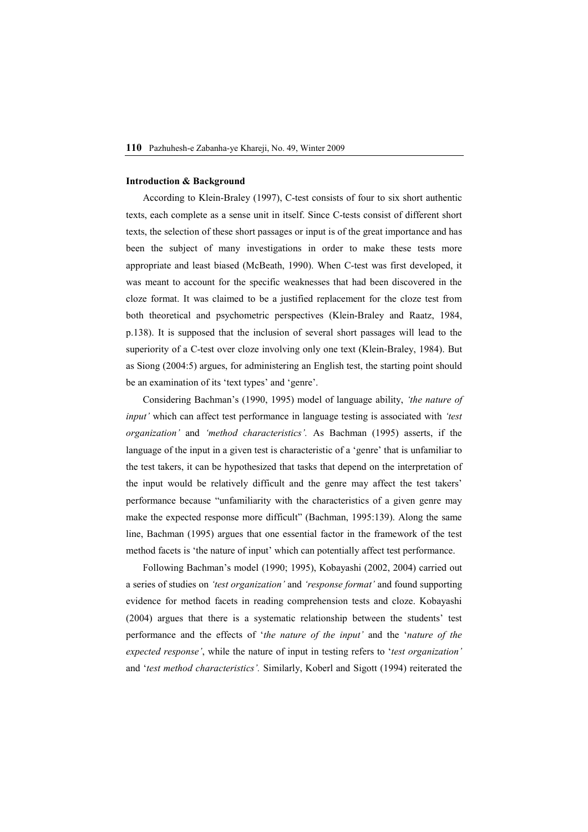## **Introduction & Background**

According to Klein-Braley (1997), C-test consists of four to six short authentic texts, each complete as a sense unit in itself. Since C-tests consist of different short texts, the selection of these short passages or input is of the great importance and has been the subject of many investigations in order to make these tests more appropriate and least biased (McBeath, 1990). When C-test was first developed, it was meant to account for the specific weaknesses that had been discovered in the cloze format. It was claimed to be a justified replacement for the cloze test from both theoretical and psychometric perspectives (Klein-Braley and Raatz, 1984, p.138). It is supposed that the inclusion of several short passages will lead to the superiority of a C-test over cloze involving only one text (Klein-Braley, 1984). But as Siong (2004:5) argues, for administering an English test, the starting point should be an examination of its 'text types' and 'genre'.

Considering Bachman's (1990, 1995) model of language ability, *'the nature of input'* which can affect test performance in language testing is associated with *'test organization'* and *'method characteristics'.* As Bachman (1995) asserts, if the language of the input in a given test is characteristic of a 'genre' that is unfamiliar to the test takers, it can be hypothesized that tasks that depend on the interpretation of the input would be relatively difficult and the genre may affect the test takers' performance because "unfamiliarity with the characteristics of a given genre may make the expected response more difficult" (Bachman, 1995:139). Along the same line, Bachman (1995) argues that one essential factor in the framework of the test method facets is 'the nature of input' which can potentially affect test performance.

Following Bachman's model (1990; 1995), Kobayashi (2002, 2004) carried out a series of studies on *'test organization'* and *'response format'* and found supporting evidence for method facets in reading comprehension tests and cloze. Kobayashi (2004) argues that there is a systematic relationship between the students' test performance and the effects of '*the nature of the input'* and the '*nature of the expected response'*, while the nature of input in testing refers to '*test organization'* and '*test method characteristics'.* Similarly, Koberl and Sigott (1994) reiterated the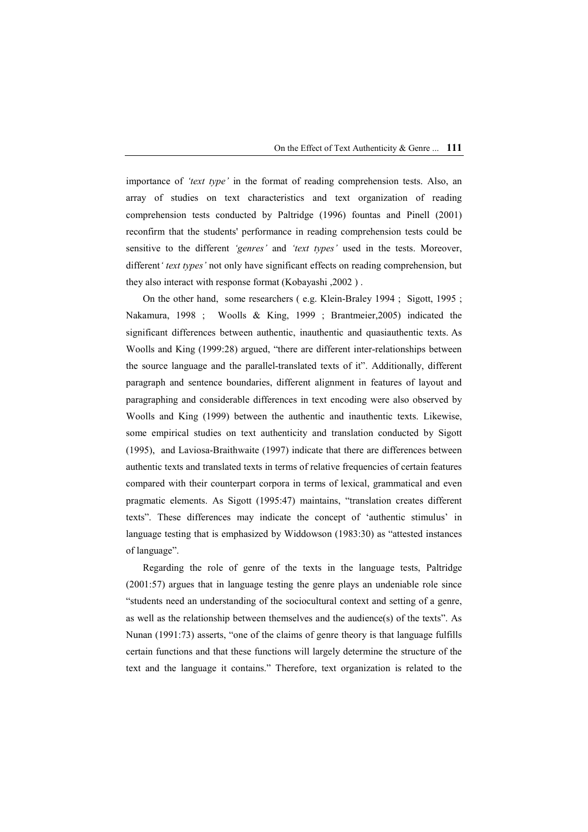importance of *'text type'* in the format of reading comprehension tests. Also, an array of studies on text characteristics and text organization of reading comprehension tests conducted by Paltridge (1996) fountas and Pinell (2001) reconfirm that the students' performance in reading comprehension tests could be sensitive to the different *'genres'* and *'text types'* used in the tests. Moreover, different*' text types'* not only have significant effects on reading comprehension, but they also interact with response format (Kobayashi ,2002 ) .

On the other hand, some researchers ( e.g. Klein-Braley 1994 ; Sigott, 1995 ; Nakamura, 1998 ; Woolls & King, 1999 ; Brantmeier,2005) indicated the significant differences between authentic, inauthentic and quasiauthentic texts. As Woolls and King (1999:28) argued, "there are different inter-relationships between the source language and the parallel-translated texts of it". Additionally, different paragraph and sentence boundaries, different alignment in features of layout and paragraphing and considerable differences in text encoding were also observed by Woolls and King (1999) between the authentic and inauthentic texts. Likewise, some empirical studies on text authenticity and translation conducted by Sigott (1995), and Laviosa-Braithwaite (1997) indicate that there are differences between authentic texts and translated texts in terms of relative frequencies of certain features compared with their counterpart corpora in terms of lexical, grammatical and even pragmatic elements. As Sigott (1995:47) maintains, "translation creates different texts". These differences may indicate the concept of 'authentic stimulus' in language testing that is emphasized by Widdowson (1983:30) as "attested instances of language".

Regarding the role of genre of the texts in the language tests, Paltridge (2001:57) argues that in language testing the genre plays an undeniable role since "students need an understanding of the sociocultural context and setting of a genre, as well as the relationship between themselves and the audience(s) of the texts". As Nunan (1991:73) asserts, "one of the claims of genre theory is that language fulfills certain functions and that these functions will largely determine the structure of the text and the language it contains." Therefore, text organization is related to the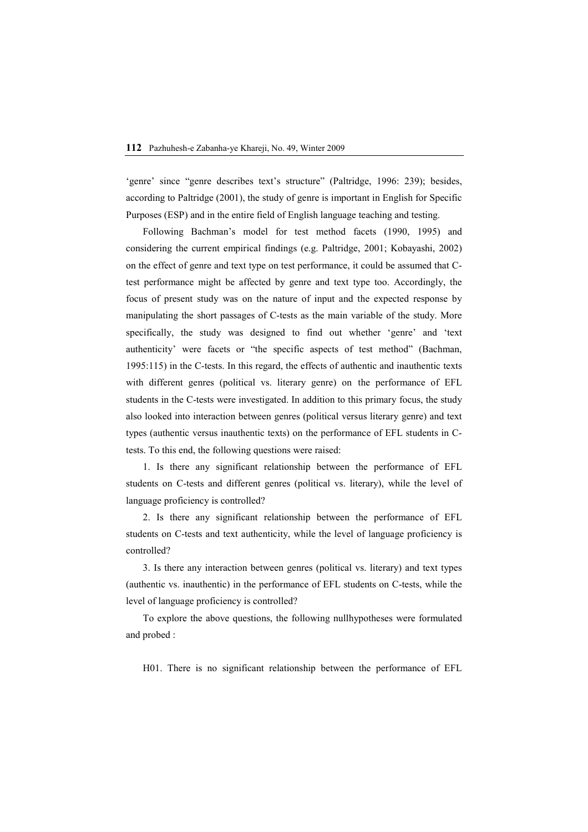'genre' since "genre describes text's structure" (Paltridge, 1996: 239); besides, according to Paltridge (2001), the study of genre is important in English for Specific Purposes (ESP) and in the entire field of English language teaching and testing.

Following Bachman's model for test method facets (1990, 1995) and considering the current empirical findings (e.g. Paltridge, 2001; Kobayashi, 2002) on the effect of genre and text type on test performance, it could be assumed that Ctest performance might be affected by genre and text type too. Accordingly, the focus of present study was on the nature of input and the expected response by manipulating the short passages of C-tests as the main variable of the study. More specifically, the study was designed to find out whether 'genre' and 'text authenticity' were facets or "the specific aspects of test method" (Bachman, 1995:115) in the C-tests. In this regard, the effects of authentic and inauthentic texts with different genres (political vs. literary genre) on the performance of EFL students in the C-tests were investigated. In addition to this primary focus, the study also looked into interaction between genres (political versus literary genre) and text types (authentic versus inauthentic texts) on the performance of EFL students in Ctests. To this end, the following questions were raised:

1. Is there any significant relationship between the performance of EFL students on C-tests and different genres (political vs. literary), while the level of language proficiency is controlled?

2. Is there any significant relationship between the performance of EFL students on C-tests and text authenticity, while the level of language proficiency is controlled?

3. Is there any interaction between genres (political vs. literary) and text types (authentic vs. inauthentic) in the performance of EFL students on C-tests, while the level of language proficiency is controlled?

To explore the above questions, the following nullhypotheses were formulated and probed :

H01. There is no significant relationship between the performance of EFL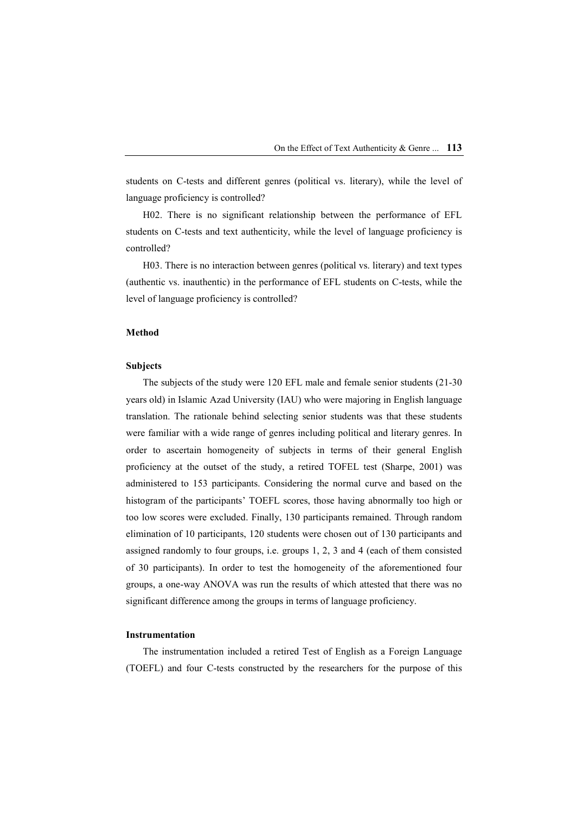students on C-tests and different genres (political vs. literary), while the level of language proficiency is controlled?

H02. There is no significant relationship between the performance of EFL students on C-tests and text authenticity, while the level of language proficiency is controlled?

H03. There is no interaction between genres (political vs. literary) and text types (authentic vs. inauthentic) in the performance of EFL students on C-tests, while the level of language proficiency is controlled?

## **Method**

### **Subjects**

The subjects of the study were 120 EFL male and female senior students (21-30 years old) in Islamic Azad University (IAU) who were majoring in English language translation. The rationale behind selecting senior students was that these students were familiar with a wide range of genres including political and literary genres. In order to ascertain homogeneity of subjects in terms of their general English proficiency at the outset of the study, a retired TOFEL test (Sharpe, 2001) was administered to 153 participants. Considering the normal curve and based on the histogram of the participants' TOEFL scores, those having abnormally too high or too low scores were excluded. Finally, 130 participants remained. Through random elimination of 10 participants, 120 students were chosen out of 130 participants and assigned randomly to four groups, i.e. groups 1, 2, 3 and 4 (each of them consisted of 30 participants). In order to test the homogeneity of the aforementioned four groups, a one-way ANOVA was run the results of which attested that there was no significant difference among the groups in terms of language proficiency.

#### **Instrumentation**

The instrumentation included a retired Test of English as a Foreign Language (TOEFL) and four C-tests constructed by the researchers for the purpose of this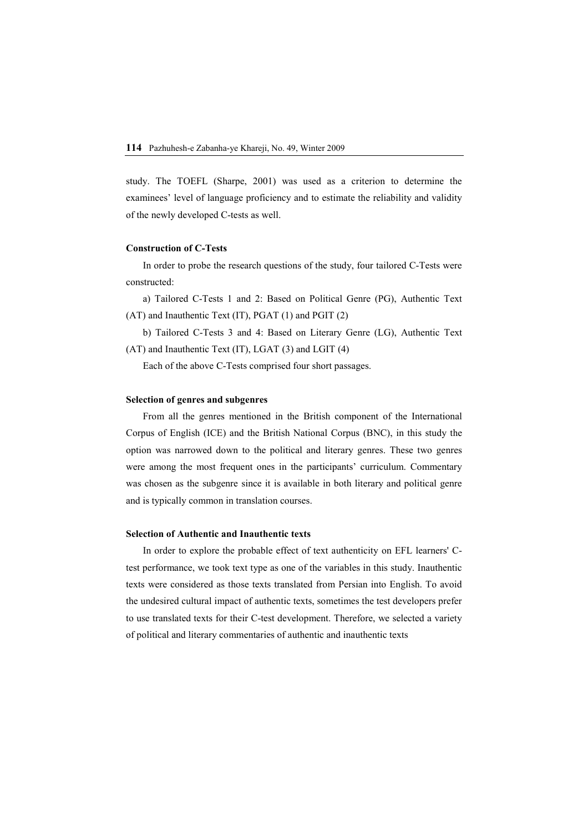study. The TOEFL (Sharpe, 2001) was used as a criterion to determine the examinees' level of language proficiency and to estimate the reliability and validity of the newly developed C-tests as well.

## **Construction of C-Tests**

In order to probe the research questions of the study, four tailored C-Tests were constructed:

a) Tailored C-Tests 1 and 2: Based on Political Genre (PG), Authentic Text (AT) and Inauthentic Text (IT), PGAT (1) and PGIT (2)

b) Tailored C-Tests 3 and 4: Based on Literary Genre (LG), Authentic Text (AT) and Inauthentic Text (IT), LGAT (3) and LGIT (4)

Each of the above C-Tests comprised four short passages.

## **Selection of genres and subgenres**

From all the genres mentioned in the British component of the International Corpus of English (ICE) and the British National Corpus (BNC), in this study the option was narrowed down to the political and literary genres. These two genres were among the most frequent ones in the participants' curriculum. Commentary was chosen as the subgenre since it is available in both literary and political genre and is typically common in translation courses.

## **Selection of Authentic and Inauthentic texts**

In order to explore the probable effect of text authenticity on EFL learners' Ctest performance, we took text type as one of the variables in this study. Inauthentic texts were considered as those texts translated from Persian into English. To avoid the undesired cultural impact of authentic texts, sometimes the test developers prefer to use translated texts for their C-test development. Therefore, we selected a variety of political and literary commentaries of authentic and inauthentic texts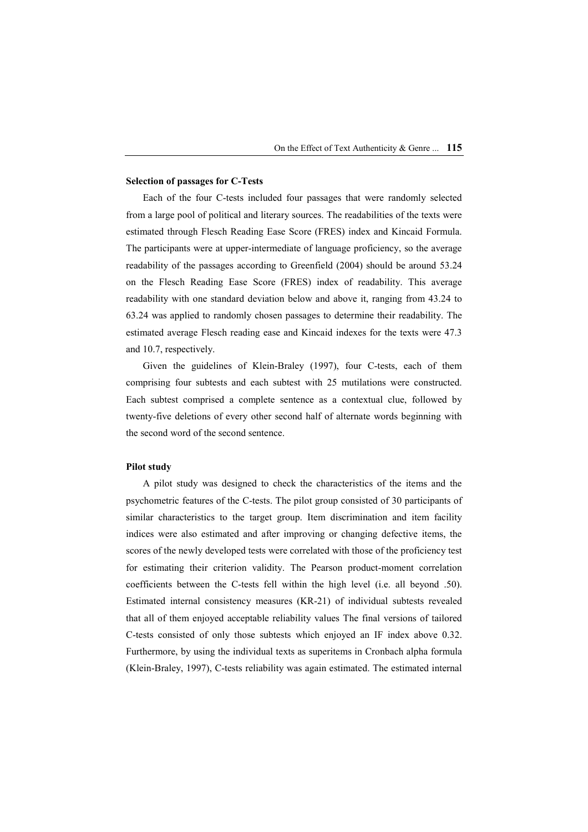## **Selection of passages for C-Tests**

Each of the four C-tests included four passages that were randomly selected from a large pool of political and literary sources. The readabilities of the texts were estimated through Flesch Reading Ease Score (FRES) index and Kincaid Formula. The participants were at upper-intermediate of language proficiency, so the average readability of the passages according to Greenfield (2004) should be around 53.24 on the Flesch Reading Ease Score (FRES) index of readability. This average readability with one standard deviation below and above it, ranging from 43.24 to 63.24 was applied to randomly chosen passages to determine their readability. The estimated average Flesch reading ease and Kincaid indexes for the texts were 47.3 and 10.7, respectively.

Given the guidelines of Klein-Braley (1997), four C-tests, each of them comprising four subtests and each subtest with 25 mutilations were constructed. Each subtest comprised a complete sentence as a contextual clue, followed by twenty-five deletions of every other second half of alternate words beginning with the second word of the second sentence.

#### **Pilot study**

A pilot study was designed to check the characteristics of the items and the psychometric features of the C-tests. The pilot group consisted of 30 participants of similar characteristics to the target group. Item discrimination and item facility indices were also estimated and after improving or changing defective items, the scores of the newly developed tests were correlated with those of the proficiency test for estimating their criterion validity. The Pearson product-moment correlation coefficients between the C-tests fell within the high level (i.e. all beyond .50). Estimated internal consistency measures (KR-21) of individual subtests revealed that all of them enjoyed acceptable reliability values The final versions of tailored C-tests consisted of only those subtests which enjoyed an IF index above 0.32. Furthermore, by using the individual texts as superitems in Cronbach alpha formula (Klein-Braley, 1997), C-tests reliability was again estimated. The estimated internal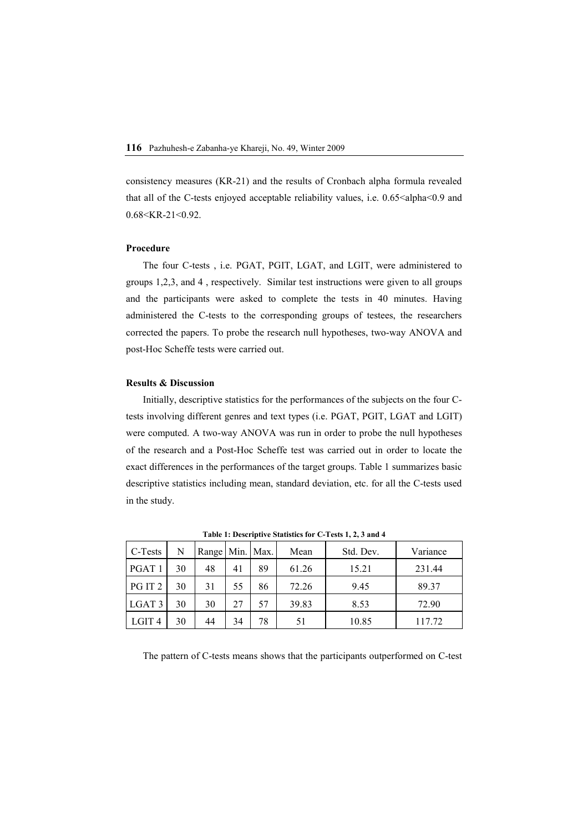consistency measures (KR-21) and the results of Cronbach alpha formula revealed that all of the C-tests enjoyed acceptable reliability values, i.e. 0.65<alpha<0.9 and  $0.68 <$ KR-21 $<$ 0.92

### **Procedure**

The four C-tests , i.e. PGAT, PGIT, LGAT, and LGIT, were administered to groups 1,2,3, and 4 , respectively. Similar test instructions were given to all groups and the participants were asked to complete the tests in 40 minutes. Having administered the C-tests to the corresponding groups of testees, the researchers corrected the papers. To probe the research null hypotheses, two-way ANOVA and post-Hoc Scheffe tests were carried out.

## **Results & Discussion**

Initially, descriptive statistics for the performances of the subjects on the four Ctests involving different genres and text types (i.e. PGAT, PGIT, LGAT and LGIT) were computed. A two-way ANOVA was run in order to probe the null hypotheses of the research and a Post-Hoc Scheffe test was carried out in order to locate the exact differences in the performances of the target groups. Table 1 summarizes basic descriptive statistics including mean, standard deviation, etc. for all the C-tests used in the study.

| C-Tests           | N  | Range Min. Max. |    |    | Mean  | Std. Dev. | Variance |
|-------------------|----|-----------------|----|----|-------|-----------|----------|
| PGAT <sub>1</sub> | 30 | 48              | 41 | 89 | 61.26 | 15.21     | 231.44   |
| PG IT 2           | 30 | 31              | 55 | 86 | 72.26 | 9.45      | 89.37    |
| LGAT <sub>3</sub> | 30 | 30              | 27 | 57 | 39.83 | 8.53      | 72.90    |
| LGIT 4            | 30 | 44              | 34 | 78 | 51    | 10.85     | 117.72   |

**Table 1: Descriptive Statistics for C-Tests 1, 2, 3 and 4** 

The pattern of C-tests means shows that the participants outperformed on C-test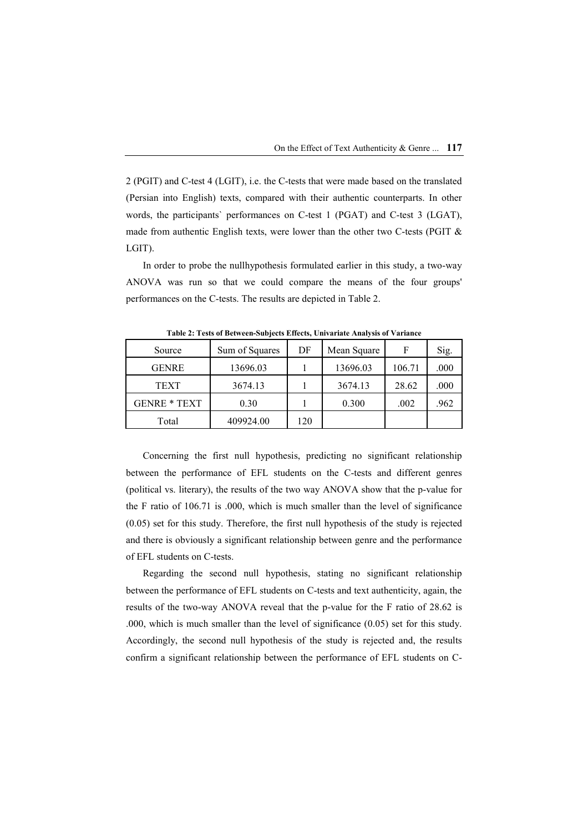2 (PGIT) and C-test 4 (LGIT), i.e. the C-tests that were made based on the translated (Persian into English) texts, compared with their authentic counterparts. In other words, the participants` performances on C-test 1 (PGAT) and C-test 3 (LGAT), made from authentic English texts, were lower than the other two C-tests (PGIT & LGIT).

In order to probe the nullhypothesis formulated earlier in this study, a two-way ANOVA was run so that we could compare the means of the four groups' performances on the C-tests. The results are depicted in Table 2.

| Source              | Sum of Squares | DF  | Mean Square | F      | Sig.     |
|---------------------|----------------|-----|-------------|--------|----------|
| <b>GENRE</b>        | 13696.03       |     | 13696.03    | 106.71 | $.000\,$ |
| <b>TEXT</b>         | 3674.13        |     | 3674.13     | 28.62  | .000     |
| <b>GENRE * TEXT</b> | 0.30           |     | 0.300       | .002   | .962     |
| Total               | 409924.00      | 120 |             |        |          |

**Table 2: Tests of Between-Subjects Effects, Univariate Analysis of Variance** 

Concerning the first null hypothesis, predicting no significant relationship between the performance of EFL students on the C-tests and different genres (political vs. literary), the results of the two way ANOVA show that the p-value for the F ratio of 106.71 is .000, which is much smaller than the level of significance (0.05) set for this study. Therefore, the first null hypothesis of the study is rejected and there is obviously a significant relationship between genre and the performance of EFL students on C-tests.

Regarding the second null hypothesis, stating no significant relationship between the performance of EFL students on C-tests and text authenticity, again, the results of the two-way ANOVA reveal that the p-value for the F ratio of 28.62 is .000, which is much smaller than the level of significance (0.05) set for this study. Accordingly, the second null hypothesis of the study is rejected and, the results confirm a significant relationship between the performance of EFL students on C-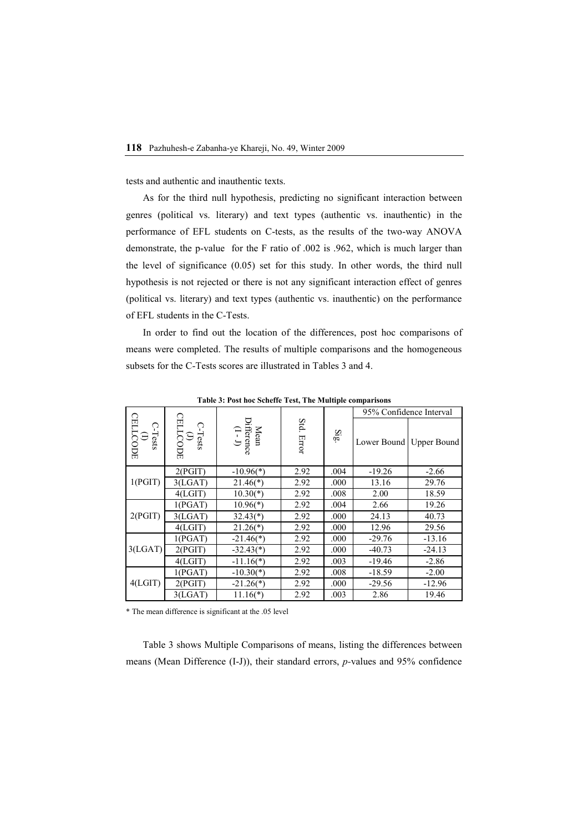tests and authentic and inauthentic texts.

As for the third null hypothesis, predicting no significant interaction between genres (political vs. literary) and text types (authentic vs. inauthentic) in the performance of EFL students on C-tests, as the results of the two-way ANOVA demonstrate, the p-value for the F ratio of .002 is .962, which is much larger than the level of significance (0.05) set for this study. In other words, the third null hypothesis is not rejected or there is not any significant interaction effect of genres (political vs. literary) and text types (authentic vs. inauthentic) on the performance of EFL students in the C-Tests.

In order to find out the location of the differences, post hoc comparisons of means were completed. The results of multiple comparisons and the homogeneous subsets for the C-Tests scores are illustrated in Tables 3 and 4.

|                                 |                                |                                                                                              |               |                         | 95% Confidence Interval |                         |  |
|---------------------------------|--------------------------------|----------------------------------------------------------------------------------------------|---------------|-------------------------|-------------------------|-------------------------|--|
| CELLCODE<br>CELLCODE<br>C-Tests | 日<br>C-Tests<br>(J)<br>ELLCODE | $\begin{array}{lcl} \textbf{Mean} \\ \textbf{Difference} \\ \textbf{(I - J)} \\ \end{array}$ | Std.<br>Error | $\overline{\mathbf{g}}$ |                         | Lower Bound Upper Bound |  |
| 1(PGIT)                         | 2(PGIT)                        | $-10.96(*)$                                                                                  | 2.92          | .004                    | $-19.26$                | $-2.66$                 |  |
|                                 | 3(LGAT)                        | $21.46(*)$                                                                                   | 2.92          | .000                    | 13.16                   | 29.76                   |  |
|                                 | 4(LGIT)                        | $10.30(*)$                                                                                   | 2.92          | .008                    | 2.00                    | 18.59                   |  |
| 2(PGIT)                         | 1(PGAT)                        | $10.96(*)$                                                                                   | 2.92          | .004                    | 2.66                    | 19.26                   |  |
|                                 | 3(LGAT)                        | $32.43(*)$                                                                                   | 2.92          | .000                    | 24.13                   | 40.73                   |  |
|                                 | 4(LGIT)                        | $21.26(*)$                                                                                   | 2.92          | .000                    | 12.96                   | 29.56                   |  |
| 3(LGAT)                         | 1(PGAT)                        | $-21.46(*)$                                                                                  | 2.92          | .000                    | $-29.76$                | $-13.16$                |  |
|                                 | 2(PGIT)                        | $-32.43(*)$                                                                                  | 2.92          | .000                    | $-40.73$                | $-24.13$                |  |
|                                 | 4(LGIT)                        | $-11.16(*)$                                                                                  | 2.92          | .003                    | $-19.46$                | $-2.86$                 |  |
| 4(LGIT)                         | 1(PGAT)                        | $-10.30(*)$                                                                                  | 2.92          | .008                    | $-18.59$                | $-2.00$                 |  |
|                                 | 2(PGIT)                        | $-21.26(*)$                                                                                  | 2.92          | .000                    | $-29.56$                | $-12.96$                |  |
|                                 | 3(LGAT)                        | $11.16(*)$                                                                                   | 2.92          | .003                    | 2.86                    | 19.46                   |  |

**Table 3: Post hoc Scheffe Test, The Multiple comparisons** 

\* The mean difference is significant at the .05 level

Table 3 shows Multiple Comparisons of means, listing the differences between means (Mean Difference (I-J)), their standard errors, *p-*values and 95% confidence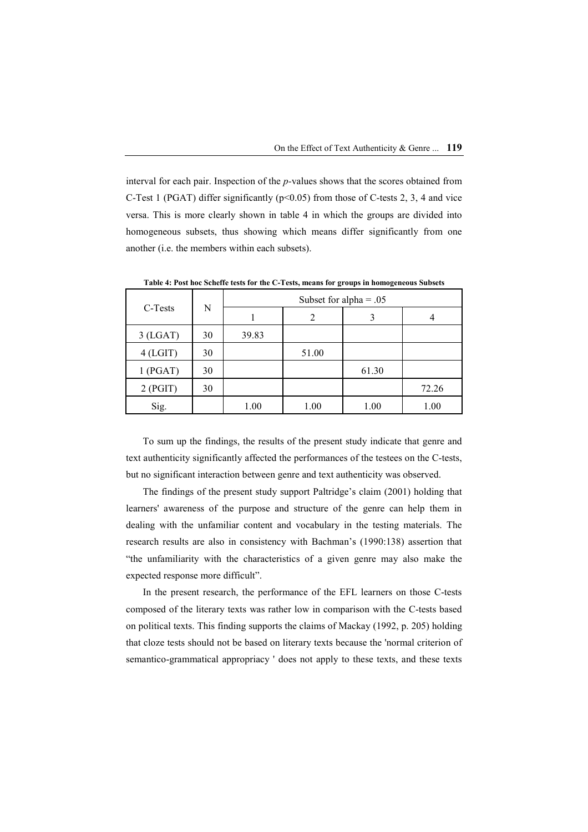interval for each pair. Inspection of the *p-*values shows that the scores obtained from C-Test 1 (PGAT) differ significantly ( $p<0.05$ ) from those of C-tests 2, 3, 4 and vice versa. This is more clearly shown in table 4 in which the groups are divided into homogeneous subsets, thus showing which means differ significantly from one another (i.e. the members within each subsets).

|            | N  | Subset for alpha = $.05$ |       |       |       |  |  |
|------------|----|--------------------------|-------|-------|-------|--|--|
| C-Tests    |    |                          | 2     |       |       |  |  |
| $3$ (LGAT) | 30 | 39.83                    |       |       |       |  |  |
| $4$ (LGIT) | 30 |                          | 51.00 |       |       |  |  |
| 1(PGAT)    | 30 |                          |       | 61.30 |       |  |  |
| 2(PGIT)    | 30 |                          |       |       | 72.26 |  |  |
| Sig.       |    | 1.00                     | 1.00  | 1.00  | 1.00  |  |  |

**Table 4: Post hoc Scheffe tests for the C-Tests, means for groups in homogeneous Subsets** 

To sum up the findings, the results of the present study indicate that genre and text authenticity significantly affected the performances of the testees on the C-tests, but no significant interaction between genre and text authenticity was observed.

The findings of the present study support Paltridge's claim (2001) holding that learners' awareness of the purpose and structure of the genre can help them in dealing with the unfamiliar content and vocabulary in the testing materials. The research results are also in consistency with Bachman's (1990:138) assertion that "the unfamiliarity with the characteristics of a given genre may also make the expected response more difficult".

In the present research, the performance of the EFL learners on those C-tests composed of the literary texts was rather low in comparison with the C-tests based on political texts. This finding supports the claims of Mackay (1992, p. 205) holding that cloze tests should not be based on literary texts because the 'normal criterion of semantico-grammatical appropriacy ' does not apply to these texts, and these texts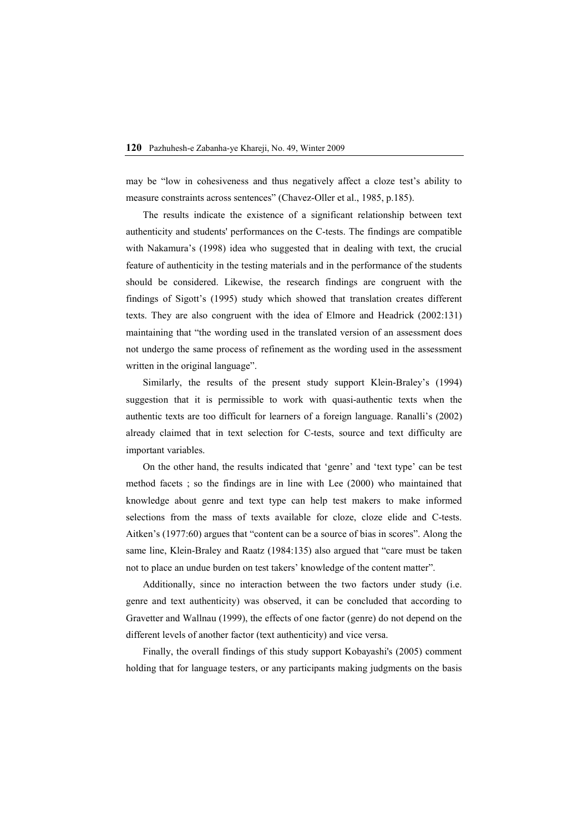may be "low in cohesiveness and thus negatively affect a cloze test's ability to measure constraints across sentences" (Chavez-Oller et al., 1985, p.185).

The results indicate the existence of a significant relationship between text authenticity and students' performances on the C-tests. The findings are compatible with Nakamura's (1998) idea who suggested that in dealing with text, the crucial feature of authenticity in the testing materials and in the performance of the students should be considered. Likewise, the research findings are congruent with the findings of Sigott's (1995) study which showed that translation creates different texts. They are also congruent with the idea of Elmore and Headrick (2002:131) maintaining that "the wording used in the translated version of an assessment does not undergo the same process of refinement as the wording used in the assessment written in the original language".

Similarly, the results of the present study support Klein-Braley's (1994) suggestion that it is permissible to work with quasi-authentic texts when the authentic texts are too difficult for learners of a foreign language. Ranalli's (2002) already claimed that in text selection for C-tests, source and text difficulty are important variables.

On the other hand, the results indicated that 'genre' and 'text type' can be test method facets ; so the findings are in line with Lee (2000) who maintained that knowledge about genre and text type can help test makers to make informed selections from the mass of texts available for cloze, cloze elide and C-tests. Aitken's (1977:60) argues that "content can be a source of bias in scores". Along the same line, Klein-Braley and Raatz (1984:135) also argued that "care must be taken not to place an undue burden on test takers' knowledge of the content matter".

Additionally, since no interaction between the two factors under study (i.e. genre and text authenticity) was observed, it can be concluded that according to Gravetter and Wallnau (1999), the effects of one factor (genre) do not depend on the different levels of another factor (text authenticity) and vice versa.

Finally, the overall findings of this study support Kobayashi's (2005) comment holding that for language testers, or any participants making judgments on the basis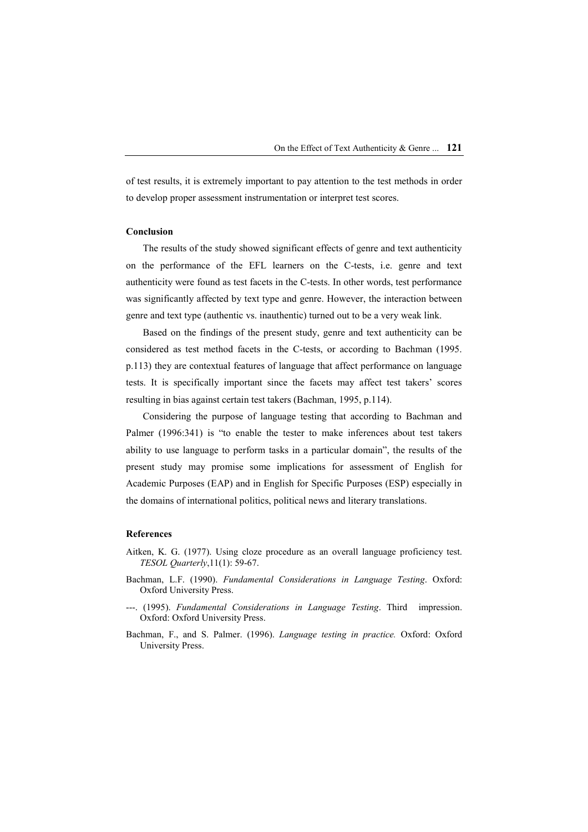of test results, it is extremely important to pay attention to the test methods in order to develop proper assessment instrumentation or interpret test scores.

## **Conclusion**

The results of the study showed significant effects of genre and text authenticity on the performance of the EFL learners on the C-tests, i.e. genre and text authenticity were found as test facets in the C-tests. In other words, test performance was significantly affected by text type and genre. However, the interaction between genre and text type (authentic vs. inauthentic) turned out to be a very weak link.

Based on the findings of the present study, genre and text authenticity can be considered as test method facets in the C-tests, or according to Bachman (1995. p.113) they are contextual features of language that affect performance on language tests. It is specifically important since the facets may affect test takers' scores resulting in bias against certain test takers (Bachman, 1995, p.114).

Considering the purpose of language testing that according to Bachman and Palmer (1996:341) is "to enable the tester to make inferences about test takers ability to use language to perform tasks in a particular domain", the results of the present study may promise some implications for assessment of English for Academic Purposes (EAP) and in English for Specific Purposes (ESP) especially in the domains of international politics, political news and literary translations.

## **References**

- Aitken, K. G. (1977). Using cloze procedure as an overall language proficiency test. *TESOL Quarterly*,11(1): 59-67.
- Bachman, L.F. (1990). *Fundamental Considerations in Language Testing*. Oxford: Oxford University Press.
- ---. (1995). *Fundamental Considerations in Language Testing*. Third impression. Oxford: Oxford University Press.
- Bachman, F., and S. Palmer. (1996). *Language testing in practice.* Oxford: Oxford University Press.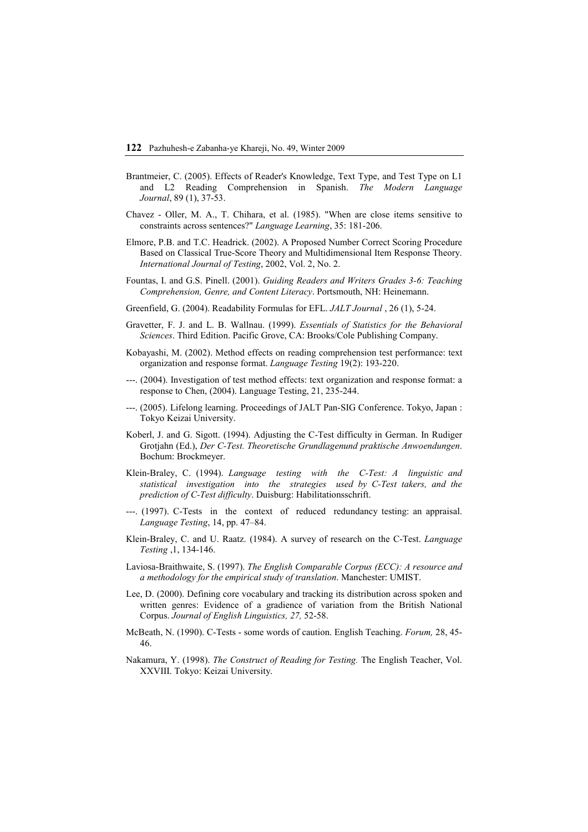- Brantmeier, C. (2005). Effects of Reader's Knowledge, Text Type, and Test Type on L1 and L2 Reading Comprehension in Spanish. *The Modern Language Journal*, 89 (1), 37-53.
- Chavez Oller, M. A., T. Chihara, et al. (1985). "When are close items sensitive to constraints across sentences?" *Language Learning*, 35: 181-206.
- Elmore, P.B. and T.C. Headrick. (2002). A Proposed Number Correct Scoring Procedure Based on Classical True-Score Theory and Multidimensional Item Response Theory. *International Journal of Testing*, 2002, Vol. 2, No. 2.
- Fountas, I. and G.S. Pinell. (2001). *Guiding Readers and Writers Grades 3-6: Teaching Comprehension, Genre, and Content Literacy*. Portsmouth, NH: Heinemann.
- Greenfield, G. (2004). Readability Formulas for EFL. *JALT Journal* , 26 (1), 5-24.
- Gravetter, F. J. and L. B. Wallnau. (1999). *Essentials of Statistics for the Behavioral Sciences*. Third Edition. Pacific Grove, CA: Brooks/Cole Publishing Company.
- Kobayashi, M. (2002). Method effects on reading comprehension test performance: text organization and response format. *Language Testing* 19(2): 193-220.
- ---. (2004). Investigation of test method effects: text organization and response format: a response to Chen, (2004). Language Testing, 21, 235-244.
- ---. (2005). Lifelong learning. Proceedings of JALT Pan-SIG Conference. Tokyo, Japan : Tokyo Keizai University.
- Koberl, J. and G. Sigott. (1994). Adjusting the C-Test difficulty in German. In Rudiger Grotjahn (Ed.), *Der C-Test. Theoretische Grundlagenund praktische Anwoendungen*. Bochum: Brockmeyer.
- Klein-Braley, C. (1994). *Language testing with the C-Test: A linguistic and statistical investigation into the strategies used by C-Test takers, and the prediction of C-Test difficulty*. Duisburg: Habilitationsschrift.
- ---. (1997). C-Tests in the context of reduced redundancy testing: an appraisal. *Language Testing*, 14, pp. 47–84.
- Klein-Braley, C. and U. Raatz. (1984). A survey of research on the C-Test. *Language Testing* ,1, 134-146.
- Laviosa-Braithwaite, S. (1997). *The English Comparable Corpus (ECC): A resource and a methodology for the empirical study of translation*. Manchester: UMIST.
- Lee, D. (2000). Defining core vocabulary and tracking its distribution across spoken and written genres: Evidence of a gradience of variation from the British National Corpus. *Journal of English Linguistics, 27,* 52-58.
- McBeath, N. (1990). C-Tests some words of caution. English Teaching. *Forum,* 28, 45- 46.
- Nakamura, Y. (1998). *The Construct of Reading for Testing.* The English Teacher, Vol. XXVIII. Tokyo: Keizai University.